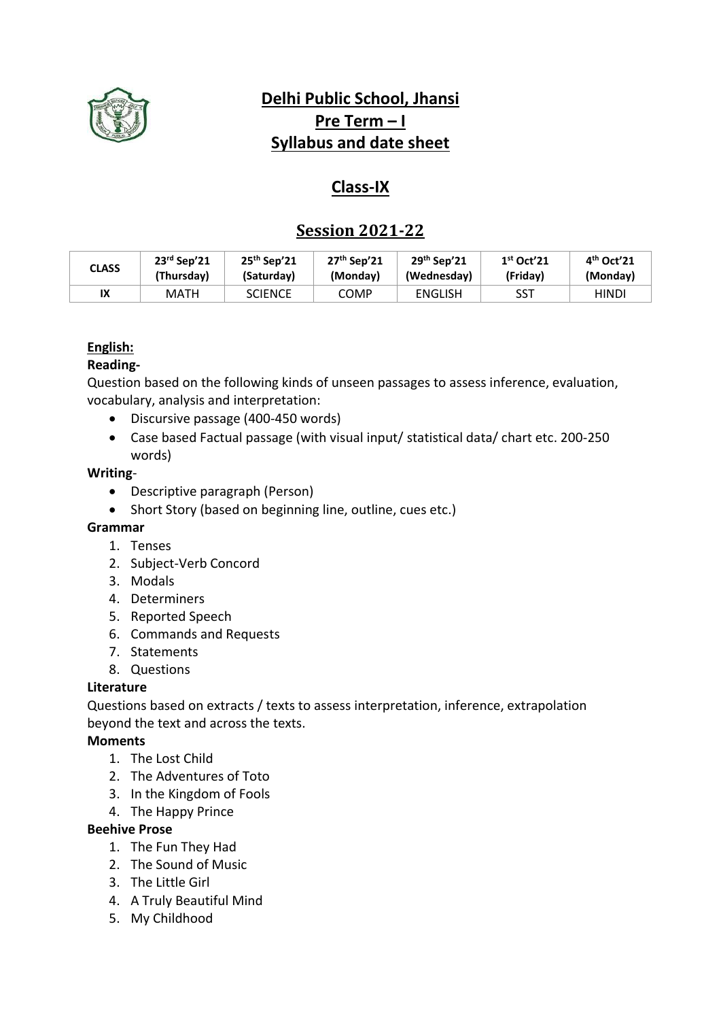

# **Delhi Public School, Jhansi Pre Term**  $-1$ **Syllabus and date sheet**

# **Class-IX**

# **Session 2021-22**

| <b>CLASS</b> | $23rd$ Sep'21 | $25th$ Sep'21  | $27th$ Sep'21 | $29th$ Sep'21  | $1st$ Oct'21 | $4th$ Oct'21 |
|--------------|---------------|----------------|---------------|----------------|--------------|--------------|
|              | (Thursdav)    | (Saturdav)     | (Monday)      | (Wednesday)    | (Fridav)     | (Monday)     |
| IX           | <b>MATH</b>   | <b>SCIENCE</b> | COMP          | <b>ENGLISH</b> | <b>SST</b>   | HINDI        |

## **English:**

## **Reading-**

Question based on the following kinds of unseen passages to assess inference, evaluation, vocabulary, analysis and interpretation:

- Discursive passage (400-450 words)
- Case based Factual passage (with visual input/ statistical data/ chart etc. 200-250 words)

### **Writing**-

- Descriptive paragraph (Person)
- Short Story (based on beginning line, outline, cues etc.)

### **Grammar**

- 1. Tenses
- 2. Subject-Verb Concord
- 3. Modals
- 4. Determiners
- 5. Reported Speech
- 6. Commands and Requests
- 7. Statements
- 8. Questions

### **Literature**

Questions based on extracts / texts to assess interpretation, inference, extrapolation beyond the text and across the texts.

## **Moments**

- 1. The Lost Child
- 2. The Adventures of Toto
- 3. In the Kingdom of Fools
- 4. The Happy Prince

### **Beehive Prose**

- 1. The Fun They Had
- 2. The Sound of Music
- 3. The Little Girl
- 4. A Truly Beautiful Mind
- 5. My Childhood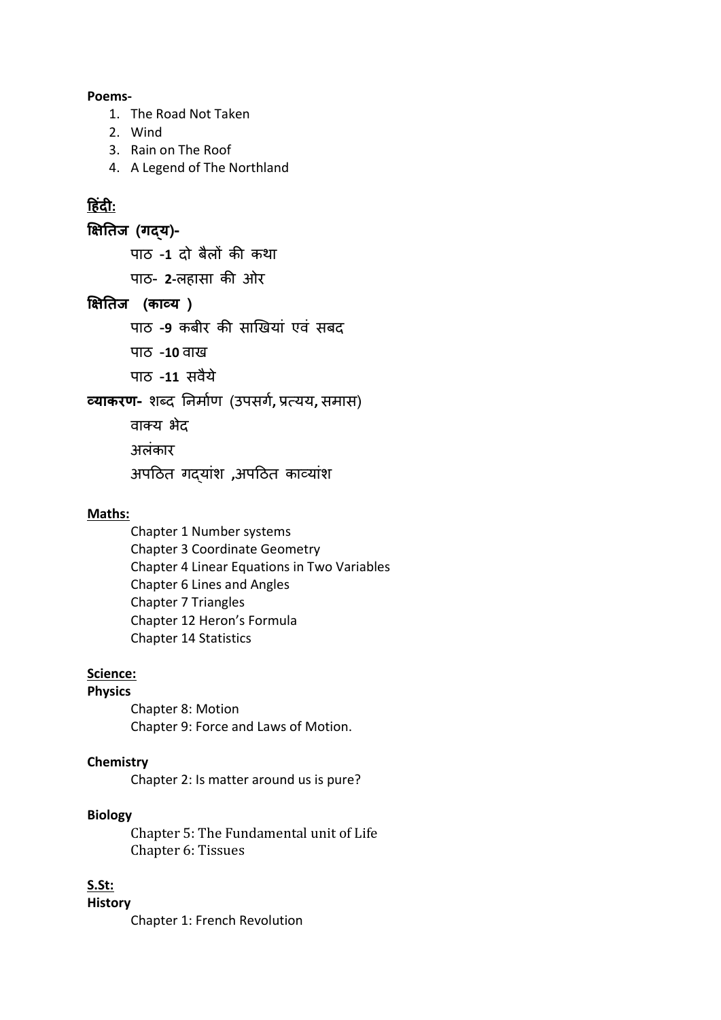#### **Poems-**

- 1. The Road Not Taken
- 2. Wind
- 3. Rain on The Roof
- 4. A Legend of The Northland

# **ह िंदी:**

**क्षितिज (गद्य)-**

पाठ -**1** दो बैलों की कथा

पाठ- **2-**लहासा की ओर

## **क्षितिज (काव्य )**

पाठ -9 कबीर की साखियां एवं सबद

पाठ -10 वाख

पाठ -**11** सवैये

**व्याकरण-** शब्द निर्ााण (उपसर्ा**,** प्रत्यय**,** सर्ास)

वाक्य भेद अलंकार

अपठठत र्दयाांश **,**अपठठत कावयाांश

### **Maths:**

Chapter 1 Number systems Chapter 3 Coordinate Geometry Chapter 4 Linear Equations in Two Variables Chapter 6 Lines and Angles Chapter 7 Triangles Chapter 12 Heron's Formula Chapter 14 Statistics

### **Science:**

#### **Physics**

Chapter 8: Motion Chapter 9: Force and Laws of Motion.

#### **Chemistry**

Chapter 2: Is matter around us is pure?

#### **Biology**

Chapter 5: The Fundamental unit of Life Chapter 6: Tissues

#### **S.St:**

**History** 

Chapter 1: French Revolution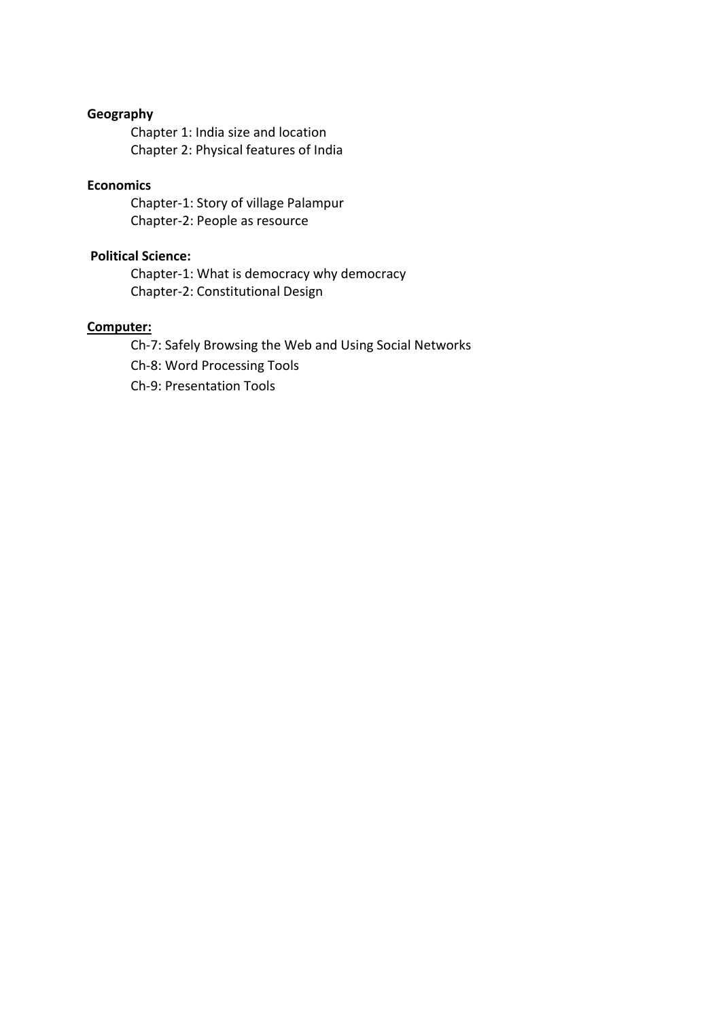# **Geography**

Chapter 1: India size and location Chapter 2: Physical features of India

### **Economics**

Chapter-1: Story of village Palampur Chapter-2: People as resource

#### **Political Science:**

Chapter-1: What is democracy why democracy Chapter-2: Constitutional Design

### **Computer:**

Ch-7: Safely Browsing the Web and Using Social Networks Ch-8: Word Processing Tools Ch-9: Presentation Tools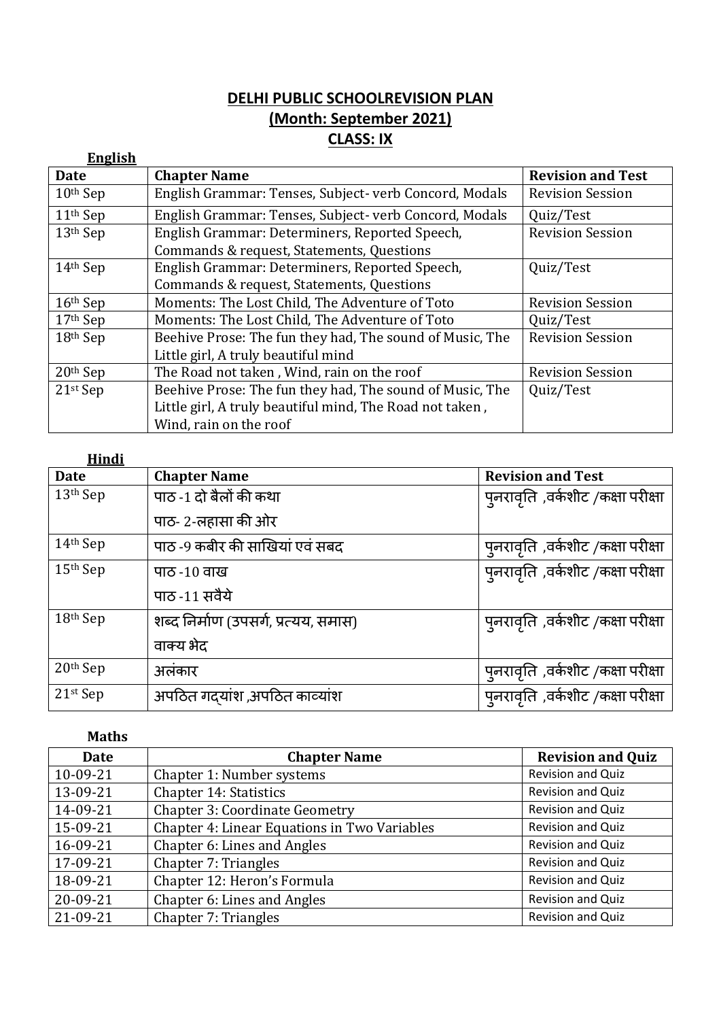# **DELHI PUBLIC SCHOOLREVISION PLAN (Month: September 2021) CLASS: IX**

| <b>English</b> |                                                                                     |                          |
|----------------|-------------------------------------------------------------------------------------|--------------------------|
| Date           | <b>Chapter Name</b>                                                                 | <b>Revision and Test</b> |
| $10th$ Sep     | English Grammar: Tenses, Subject- verb Concord, Modals                              | <b>Revision Session</b>  |
| $11th$ Sep     | English Grammar: Tenses, Subject- verb Concord, Modals                              | Quiz/Test                |
| $13th$ Sep     | English Grammar: Determiners, Reported Speech,                                      | <b>Revision Session</b>  |
|                | Commands & request, Statements, Questions                                           |                          |
| $14th$ Sep     | English Grammar: Determiners, Reported Speech,                                      | Quiz/Test                |
|                | Commands & request, Statements, Questions                                           |                          |
| $16th$ Sep     | Moments: The Lost Child, The Adventure of Toto<br><b>Revision Session</b>           |                          |
| $17th$ Sep     | Moments: The Lost Child, The Adventure of Toto<br>Quiz/Test                         |                          |
| 18th Sep       | Beehive Prose: The fun they had, The sound of Music, The<br><b>Revision Session</b> |                          |
|                | Little girl, A truly beautiful mind                                                 |                          |
| $20th$ Sep     | The Road not taken, Wind, rain on the roof<br><b>Revision Session</b>               |                          |
| $21st$ Sep     | Beehive Prose: The fun they had, The sound of Music, The<br>Quiz/Test               |                          |
|                | Little girl, A truly beautiful mind, The Road not taken,                            |                          |
|                | Wind, rain on the roof                                                              |                          |

| <b>Hindi</b> |                                      |                                           |
|--------------|--------------------------------------|-------------------------------------------|
| <b>Date</b>  | <b>Chapter Name</b>                  | <b>Revision and Test</b>                  |
| 13th Sep     | पाठ -1 दो बैलों की कथा               | प् <b>नरावृति</b> ,वर्कशीट /कक्षा परीक्षा |
|              | पाठ- 2-लहासा की ओर                   |                                           |
| $14th$ Sep   | पाठ -9 कबीर की साखियां एवं सबद       | पुनरावृति ,वर्कशीट /कक्षा परीक्षा         |
| $15th$ Sep   | पाठ -10 वाख                          | प् <b>नरावृति</b> ,वर्कशीट /कक्षा परीक्षा |
|              | पाठ -11 सवैये                        |                                           |
| $18th$ Sep   | शब्द निर्माण (उपसर्ग, प्रत्यय, समास) | प् <b>नरावृति</b> ,वर्कशीट /कक्षा परीक्षा |
|              | वाक्य भेद                            |                                           |
| 20th Sep     | अलंकार                               | पुनरावृति ,वर्कशीट /कक्षा परीक्षा         |
| 21st Sep     | अपठित गद्यांश,अपठित काव्यांश         | पुनरावृति, वर्कशीट /कक्षा परीक्षा         |

## **Maths**

| Date           | <b>Chapter Name</b>                          | <b>Revision and Quiz</b> |
|----------------|----------------------------------------------|--------------------------|
| 10-09-21       | Chapter 1: Number systems                    | Revision and Quiz        |
| 13-09-21       | Chapter 14: Statistics                       | Revision and Quiz        |
| 14-09-21       | <b>Chapter 3: Coordinate Geometry</b>        | Revision and Quiz        |
| 15-09-21       | Chapter 4: Linear Equations in Two Variables | Revision and Quiz        |
| 16-09-21       | Chapter 6: Lines and Angles                  | Revision and Quiz        |
| 17-09-21       | Chapter 7: Triangles                         | Revision and Quiz        |
| 18-09-21       | Chapter 12: Heron's Formula                  | Revision and Quiz        |
| $20 - 09 - 21$ | Chapter 6: Lines and Angles                  | Revision and Quiz        |
| 21-09-21       | Chapter 7: Triangles                         | Revision and Quiz        |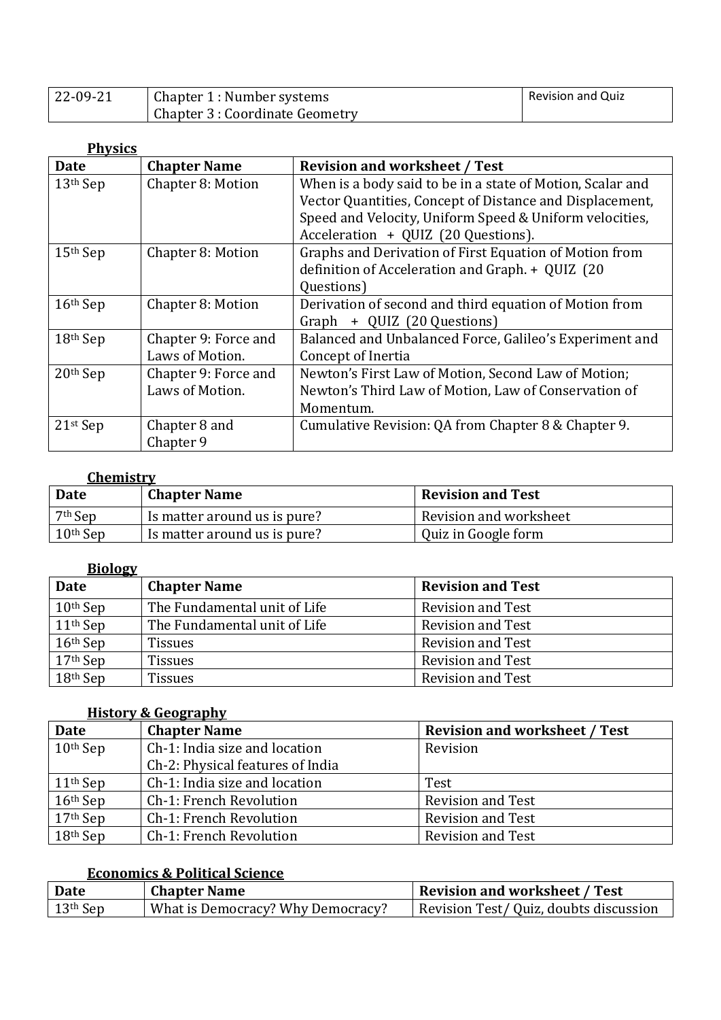| 22-09-21 | Chapter 1 : Number systems      | <b>Revision and Quiz</b> |
|----------|---------------------------------|--------------------------|
|          | Chapter 3 : Coordinate Geometry |                          |

| <b>Physics</b> |                      |                                                            |  |  |
|----------------|----------------------|------------------------------------------------------------|--|--|
| <b>Date</b>    | <b>Chapter Name</b>  | <b>Revision and worksheet / Test</b>                       |  |  |
| $13th$ Sep     | Chapter 8: Motion    | When is a body said to be in a state of Motion, Scalar and |  |  |
|                |                      | Vector Quantities, Concept of Distance and Displacement,   |  |  |
|                |                      | Speed and Velocity, Uniform Speed & Uniform velocities,    |  |  |
|                |                      | Acceleration + QUIZ (20 Questions).                        |  |  |
| $15th$ Sep     | Chapter 8: Motion    | Graphs and Derivation of First Equation of Motion from     |  |  |
|                |                      | definition of Acceleration and Graph. + QUIZ (20           |  |  |
|                |                      | Questions)                                                 |  |  |
| $16th$ Sep     | Chapter 8: Motion    | Derivation of second and third equation of Motion from     |  |  |
|                |                      | Graph + QUIZ (20 Questions)                                |  |  |
| 18th Sep       | Chapter 9: Force and | Balanced and Unbalanced Force, Galileo's Experiment and    |  |  |
|                | Laws of Motion.      | Concept of Inertia                                         |  |  |
| 20th Sep       | Chapter 9: Force and | Newton's First Law of Motion, Second Law of Motion;        |  |  |
|                | Laws of Motion.      | Newton's Third Law of Motion, Law of Conservation of       |  |  |
|                |                      | Momentum.                                                  |  |  |
| $21st$ Sep     | Chapter 8 and        | Cumulative Revision: QA from Chapter 8 & Chapter 9.        |  |  |
|                | Chapter 9            |                                                            |  |  |

## **Chemistry**

| Date       | <b>Chapter Name</b>          | <b>Revision and Test</b> |
|------------|------------------------------|--------------------------|
| $7th$ Sep  | Is matter around us is pure? | Revision and worksheet   |
| $10th$ Sep | Is matter around us is pure? | Quiz in Google form      |

# **Biology**

| Date       | <b>Chapter Name</b>          | <b>Revision and Test</b> |
|------------|------------------------------|--------------------------|
| $10th$ Sep | The Fundamental unit of Life | <b>Revision and Test</b> |
| $11th$ Sep | The Fundamental unit of Life | <b>Revision and Test</b> |
| $16th$ Sep | Tissues                      | <b>Revision and Test</b> |
| $17th$ Sep | <b>Tissues</b>               | <b>Revision and Test</b> |
| $18th$ Sep | <b>Tissues</b>               | <b>Revision and Test</b> |

## **History & Geography**

| <b>Date</b> | <b>Chapter Name</b>              | <b>Revision and worksheet / Test</b> |
|-------------|----------------------------------|--------------------------------------|
| $10th$ Sep  | Ch-1: India size and location    | Revision                             |
|             | Ch-2: Physical features of India |                                      |
| $11th$ Sep  | Ch-1: India size and location    | Test                                 |
| $16th$ Sep  | Ch-1: French Revolution          | <b>Revision and Test</b>             |
| $17th$ Sep  | Ch-1: French Revolution          | <b>Revision and Test</b>             |
| $18th$ Sep  | Ch-1: French Revolution          | <b>Revision and Test</b>             |

# **Economics & Political Science**

| <b>Date</b>                  | <b>Chapter Name</b>               | <b>Revision and worksheet / Test</b>   |
|------------------------------|-----------------------------------|----------------------------------------|
| $\vert$ 13 <sup>th</sup> Sep | What is Democracy? Why Democracy? | Revision Test/ Quiz, doubts discussion |